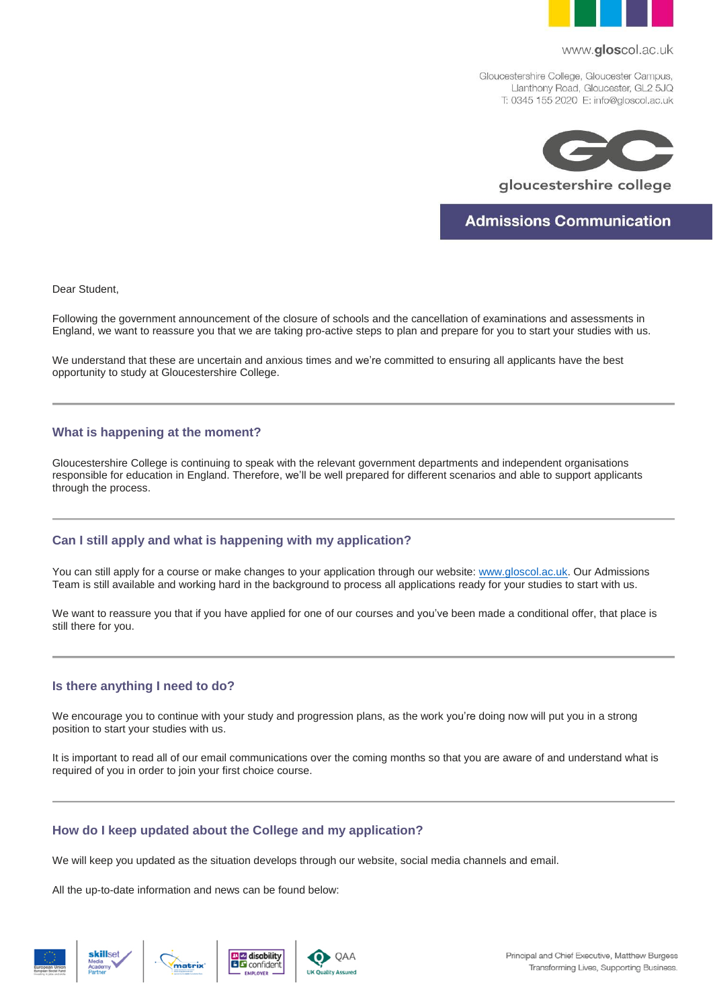

#### www.gloscol.ac.uk

Gloucestershire College, Gloucester Campus, Llanthony Road, Gloucester, GL2 5JQ T: 0345 155 2020 E: info@gloscol.ac.uk



gloucestershire college

**Admissions Communication** 

Dear Student,

Following the government announcement of the closure of schools and the cancellation of examinations and assessments in England, we want to reassure you that we are taking pro-active steps to plan and prepare for you to start your studies with us.

We understand that these are uncertain and anxious times and we're committed to ensuring all applicants have the best opportunity to study at Gloucestershire College.

## **What is happening at the moment?**

Gloucestershire College is continuing to speak with the relevant government departments and independent organisations responsible for education in England. Therefore, we'll be well prepared for different scenarios and able to support applicants through the process.

## **Can I still apply and what is happening with my application?**

You can still apply for a course or make changes to your application through our website: [www.gloscol.ac.uk.](http://www.gloscol.ac.uk/) Our Admissions Team is still available and working hard in the background to process all applications ready for your studies to start with us.

We want to reassure you that if you have applied for one of our courses and you've been made a conditional offer, that place is still there for you.

## **Is there anything I need to do?**

We encourage you to continue with your study and progression plans, as the work you're doing now will put you in a strong position to start your studies with us.

It is important to read all of our email communications over the coming months so that you are aware of and understand what is required of you in order to join your first choice course.

# **How do I keep updated about the College and my application?**

We will keep you updated as the situation develops through our website, social media channels and email.

All the up-to-date information and news can be found below: